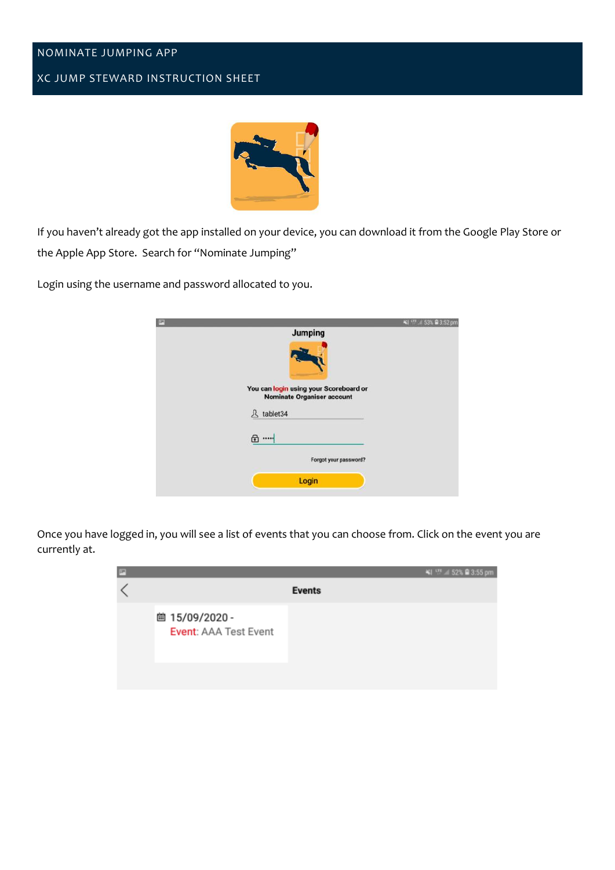## NOMINATE JUMPING APP

## XC JUMP STEWARD INSTRUCTION SHEET



If you haven't already got the app installed on your device, you can download it from the Google Play Store or the Apple App Store. Search for "Nominate Jumping"

Login using the username and password allocated to you.

| <b>P</b>                                                                    | $\leq 1$ and $=$ 53% $\equiv$ 3.52 pm |
|-----------------------------------------------------------------------------|---------------------------------------|
| <b>Jumping</b>                                                              |                                       |
|                                                                             |                                       |
| You can login using your Scoreboard or<br><b>Nominate Organiser account</b> |                                       |
| tablet34<br>л                                                               |                                       |
| ெ…                                                                          |                                       |
| Forgot your password?                                                       |                                       |
| Login                                                                       |                                       |

Once you have logged in, you will see a list of events that you can choose from. Click on the event you are currently at.

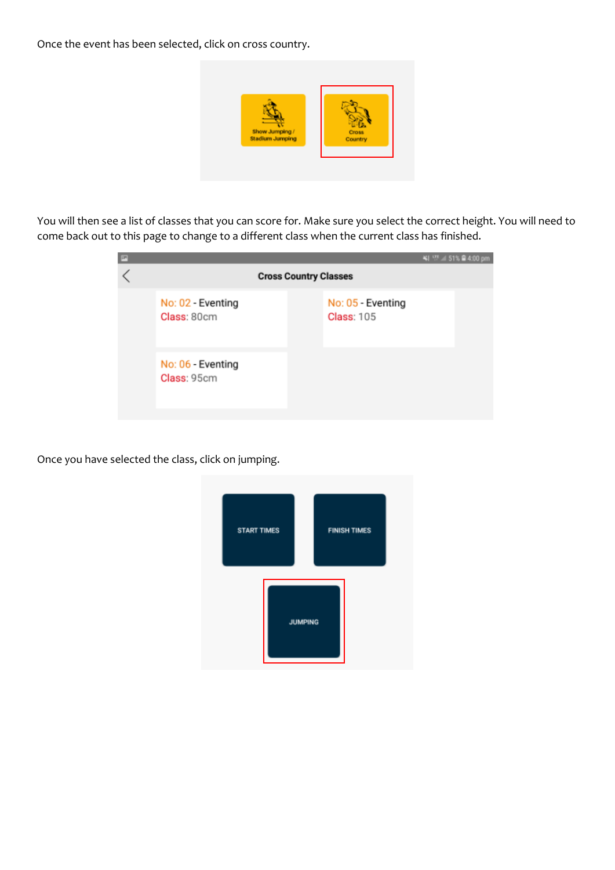Once the event has been selected, click on cross country.



You will then see a list of classes that you can score for. Make sure you select the correct height. You will need to come back out to this page to change to a different class when the current class has finished.

| P |                                  |                                        | ¥4 空 451% 自 4:00 pm |
|---|----------------------------------|----------------------------------------|---------------------|
|   | <b>Cross Country Classes</b>     |                                        |                     |
|   | No: 02 - Eventing<br>Class: 80cm | No: 05 - Eventing<br><b>Class: 105</b> |                     |
|   | No: 06 - Eventing<br>Class: 95cm |                                        |                     |

Once you have selected the class, click on jumping.

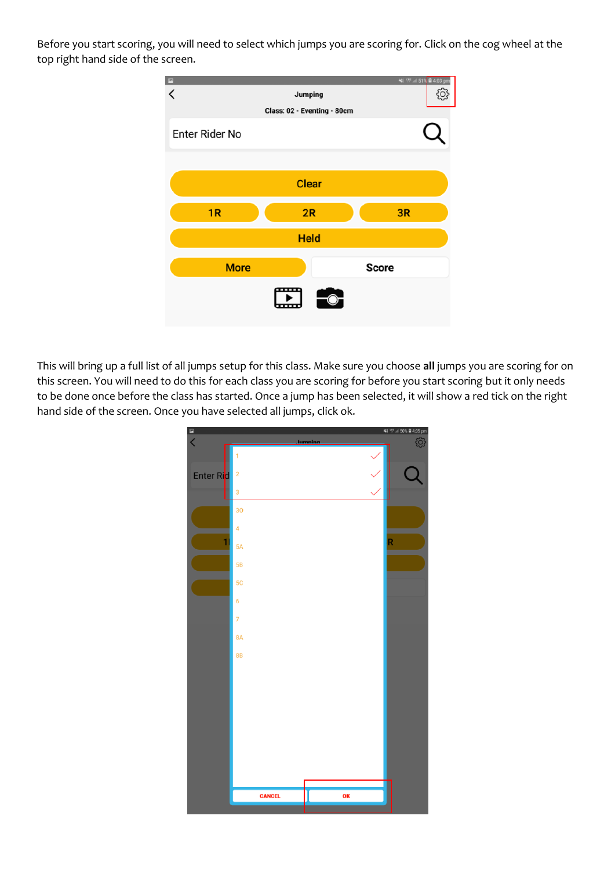Before you start scoring, you will need to select which jumps you are scoring for. Click on the cog wheel at the top right hand side of the screen.



This will bring up a full list of all jumps setup for this class. Make sure you choose **all** jumps you are scoring for on this screen. You will need to do this for each class you are scoring for before you start scoring but it only needs to be done once before the class has started. Once a jump has been selected, it will show a red tick on the right hand side of the screen. Once you have selected all jumps, click ok.

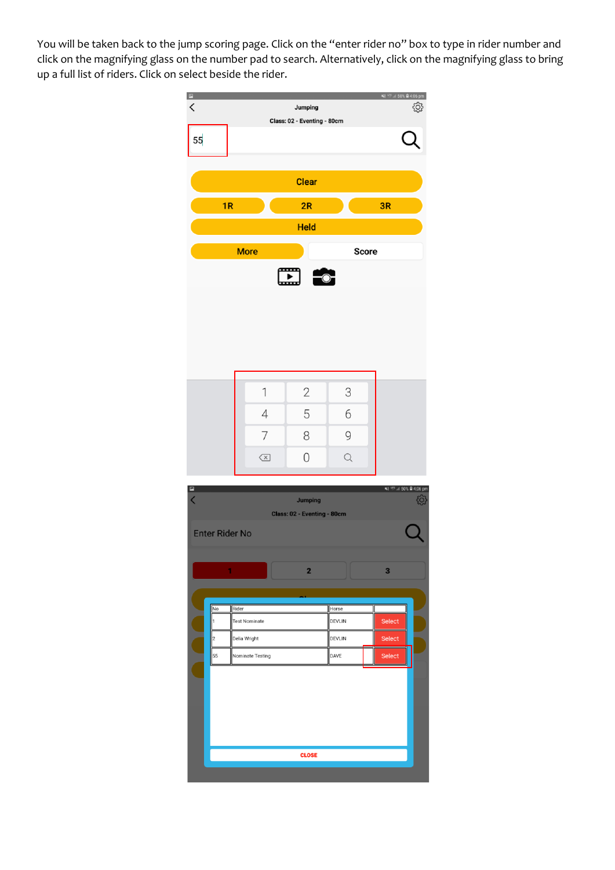You will be taken back to the jump scoring page. Click on the "enter rider no" box to type in rider number and click on the magnifying glass on the number pad to search. Alternatively, click on the magnifying glass to bring up a full list of riders. Click on select beside the rider.

| $\blacksquare$ |                                                                  |                                              |                         |                         |              |              | ¥1 177 4 50% ■ 4:06 pm      |
|----------------|------------------------------------------------------------------|----------------------------------------------|-------------------------|-------------------------|--------------|--------------|-----------------------------|
| $\,$ $\,$      |                                                                  | හි<br>Jumping<br>Class: 02 - Eventing - 80cm |                         |                         |              |              |                             |
|                |                                                                  |                                              |                         |                         |              |              |                             |
| 55             |                                                                  |                                              |                         |                         |              |              |                             |
|                |                                                                  |                                              |                         |                         |              |              |                             |
|                |                                                                  |                                              |                         | <b>Clear</b>            |              |              |                             |
|                | 1R                                                               |                                              |                         | 2R                      |              | 3R           |                             |
|                |                                                                  |                                              |                         | <b>Held</b>             |              |              |                             |
|                |                                                                  |                                              | <b>More</b>             |                         |              | <b>Score</b> |                             |
|                |                                                                  |                                              |                         |                         |              |              |                             |
|                |                                                                  |                                              |                         |                         |              |              |                             |
|                |                                                                  |                                              |                         |                         |              |              |                             |
|                |                                                                  |                                              |                         |                         |              |              |                             |
|                |                                                                  |                                              |                         |                         |              |              |                             |
|                |                                                                  |                                              |                         |                         |              |              |                             |
|                |                                                                  |                                              |                         |                         |              |              |                             |
|                |                                                                  |                                              | 1                       |                         |              |              |                             |
|                |                                                                  |                                              |                         | $\mathbf{2}$            | 3            |              |                             |
|                |                                                                  |                                              | $\sqrt{4}$              | 5                       | 6            |              |                             |
|                |                                                                  |                                              | 7                       | 8                       | 9            |              |                             |
|                |                                                                  |                                              | $\left( \times \right)$ | 0                       | $\mathsf{Q}$ |              |                             |
|                |                                                                  |                                              |                         |                         |              |              |                             |
| ₽              |                                                                  |                                              |                         |                         |              |              | ¥∜ ™ ⊿ 50% <b>≘</b> 4:06 pm |
|                | $\overline{\left\langle \right\rangle }$<br>හි<br><b>Jumping</b> |                                              |                         |                         |              |              |                             |
|                | Class: 02 - Eventing - 80cm                                      |                                              |                         |                         |              |              |                             |
|                | <b>Enter Rider No</b>                                            |                                              |                         |                         |              |              |                             |
|                |                                                                  |                                              |                         |                         |              |              |                             |
|                | 1                                                                |                                              |                         | $\overline{\mathbf{2}}$ |              | 3            |                             |
|                |                                                                  |                                              |                         |                         |              |              |                             |
|                | No                                                               | Rider                                        |                         |                         | Horse        |              |                             |
|                | h                                                                | <b>Test Nominate</b>                         |                         |                         | DEVLIN       | Select       |                             |
|                | 2<br>Delia Wright                                                |                                              |                         |                         | DEVLIN       | Select       |                             |
|                | 55                                                               | Nominate Testing                             |                         | DAVE                    | Select       |              |                             |

**CLOSE**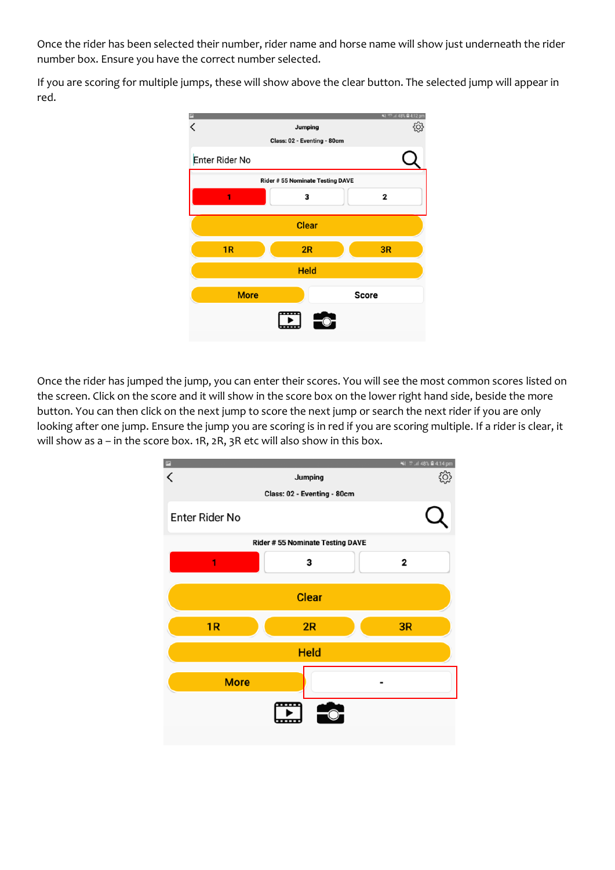Once the rider has been selected their number, rider name and horse name will show just underneath the rider number box. Ensure you have the correct number selected.

If you are scoring for multiple jumps, these will show above the clear button. The selected jump will appear in red.



Once the rider has jumped the jump, you can enter their scores. You will see the most common scores listed on the screen. Click on the score and it will show in the score box on the lower right hand side, beside the more button. You can then click on the next jump to score the next jump or search the next rider if you are only looking after one jump. Ensure the jump you are scoring is in red if you are scoring multiple. If a rider is clear, it will show as a – in the score box. 1R, 2R, 3R etc will also show in this box.

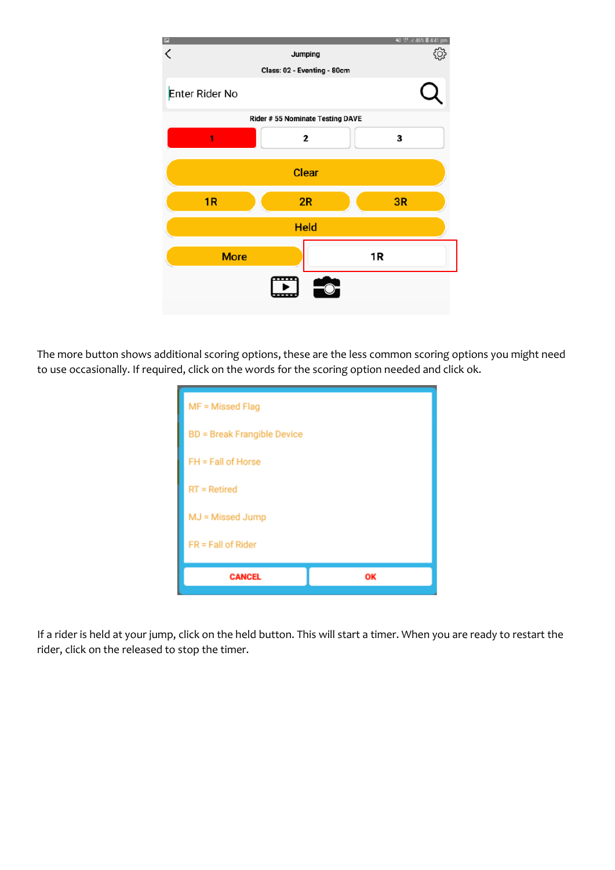

The more button shows additional scoring options, these are the less common scoring options you might need to use occasionally. If required, click on the words for the scoring option needed and click ok.

| MF = Missed Flag                   |    |  |  |
|------------------------------------|----|--|--|
| <b>BD</b> = Break Frangible Device |    |  |  |
| FH = Fall of Horse                 |    |  |  |
| $RT = Retired$                     |    |  |  |
| MJ = Missed Jump                   |    |  |  |
| $FR = Fall of Ridge$               |    |  |  |
| <b>CANCEL</b>                      | ОK |  |  |

If a rider is held at your jump, click on the held button. This will start a timer. When you are ready to restart the rider, click on the released to stop the timer.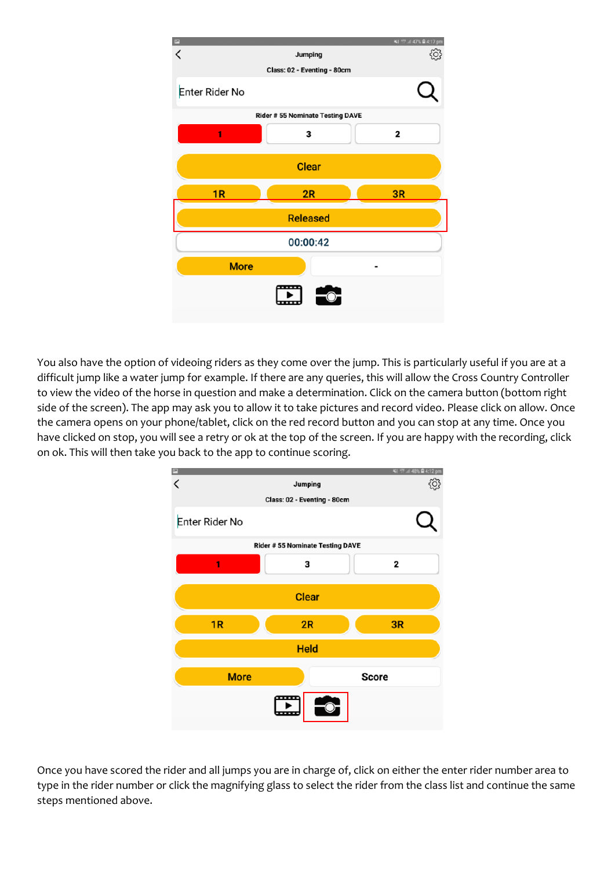|                 |                                        | ¥3 STE 47% ■ 4:17 pm |  |  |
|-----------------|----------------------------------------|----------------------|--|--|
|                 | Jumping                                | $\hat{Q}$            |  |  |
|                 | Class: 02 - Eventing - 80cm            |                      |  |  |
| Enter Rider No  |                                        |                      |  |  |
|                 | <b>Rider #55 Nominate Testing DAVE</b> |                      |  |  |
| 1               | 3                                      | 2                    |  |  |
|                 | <b>Clear</b>                           |                      |  |  |
| 1R              | 2R                                     | 3R                   |  |  |
| <b>Released</b> |                                        |                      |  |  |
| 00:00:42        |                                        |                      |  |  |
| <b>More</b>     |                                        |                      |  |  |
|                 |                                        |                      |  |  |

You also have the option of videoing riders as they come over the jump. This is particularly useful if you are at a difficult jump like a water jump for example. If there are any queries, this will allow the Cross Country Controller to view the video of the horse in question and make a determination. Click on the camera button (bottom right side of the screen). The app may ask you to allow it to take pictures and record video. Please click on allow. Once the camera opens on your phone/tablet, click on the red record button and you can stop at any time. Once you have clicked on stop, you will see a retry or ok at the top of the screen. If you are happy with the recording, click on ok. This will then take you back to the app to continue scoring.



Once you have scored the rider and all jumps you are in charge of, click on either the enter rider number area to type in the rider number or click the magnifying glass to select the rider from the class list and continue the same steps mentioned above.